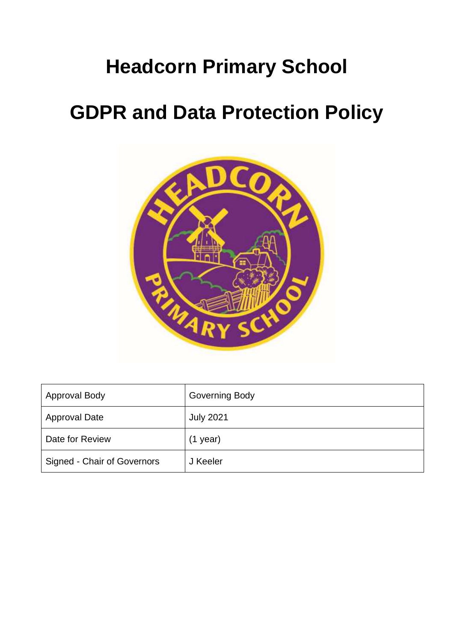# **Headcorn Primary School**

# **GDPR and Data Protection Policy**



| <b>Approval Body</b>        | <b>Governing Body</b> |
|-----------------------------|-----------------------|
| <b>Approval Date</b>        | <b>July 2021</b>      |
| Date for Review             | $(1$ year)            |
| Signed - Chair of Governors | J Keeler              |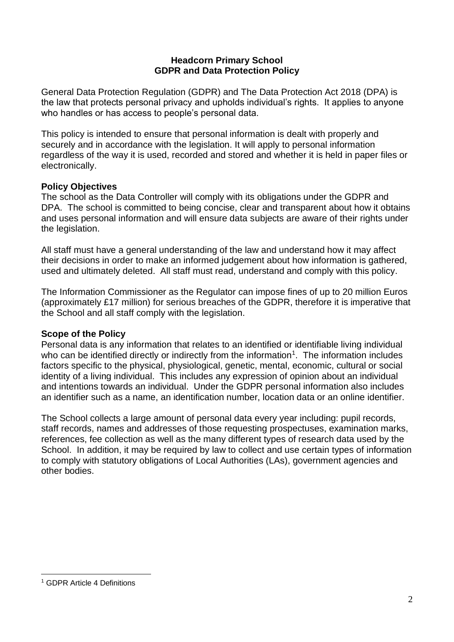#### **Headcorn Primary School GDPR and Data Protection Policy**

General Data Protection Regulation (GDPR) and The Data Protection Act 2018 (DPA) is the law that protects personal privacy and upholds individual's rights. It applies to anyone who handles or has access to people's personal data.

This policy is intended to ensure that personal information is dealt with properly and securely and in accordance with the legislation. It will apply to personal information regardless of the way it is used, recorded and stored and whether it is held in paper files or electronically.

#### **Policy Objectives**

The school as the Data Controller will comply with its obligations under the GDPR and DPA. The school is committed to being concise, clear and transparent about how it obtains and uses personal information and will ensure data subjects are aware of their rights under the legislation.

All staff must have a general understanding of the law and understand how it may affect their decisions in order to make an informed judgement about how information is gathered, used and ultimately deleted. All staff must read, understand and comply with this policy.

The Information Commissioner as the Regulator can impose fines of up to 20 million Euros (approximately £17 million) for serious breaches of the GDPR, therefore it is imperative that the School and all staff comply with the legislation.

## **Scope of the Policy**

Personal data is any information that relates to an identified or identifiable living individual who can be identified directly or indirectly from the information<sup>1</sup>. The information includes factors specific to the physical, physiological, genetic, mental, economic, cultural or social identity of a living individual. This includes any expression of opinion about an individual and intentions towards an individual. Under the GDPR personal information also includes an identifier such as a name, an identification number, location data or an online identifier.

The School collects a large amount of personal data every year including: pupil records, staff records, names and addresses of those requesting prospectuses, examination marks, references, fee collection as well as the many different types of research data used by the School. In addition, it may be required by law to collect and use certain types of information to comply with statutory obligations of Local Authorities (LAs), government agencies and other bodies.

<sup>1</sup> GDPR Article 4 Definitions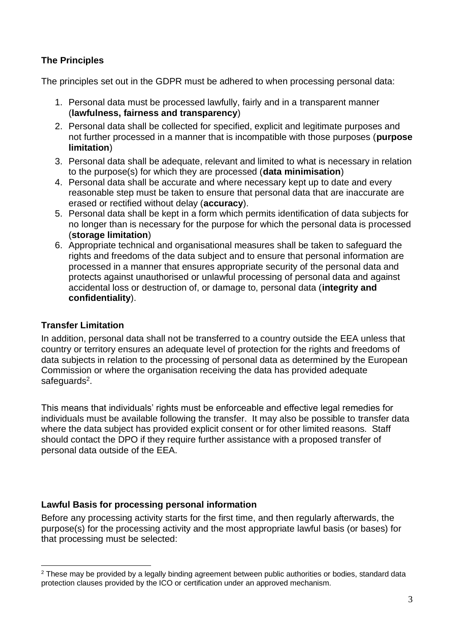## **The Principles**

The principles set out in the GDPR must be adhered to when processing personal data:

- 1. Personal data must be processed lawfully, fairly and in a transparent manner (**lawfulness, fairness and transparency**)
- 2. Personal data shall be collected for specified, explicit and legitimate purposes and not further processed in a manner that is incompatible with those purposes (**purpose limitation**)
- 3. Personal data shall be adequate, relevant and limited to what is necessary in relation to the purpose(s) for which they are processed (**data minimisation**)
- 4. Personal data shall be accurate and where necessary kept up to date and every reasonable step must be taken to ensure that personal data that are inaccurate are erased or rectified without delay (**accuracy**).
- 5. Personal data shall be kept in a form which permits identification of data subjects for no longer than is necessary for the purpose for which the personal data is processed (**storage limitation**)
- 6. Appropriate technical and organisational measures shall be taken to safeguard the rights and freedoms of the data subject and to ensure that personal information are processed in a manner that ensures appropriate security of the personal data and protects against unauthorised or unlawful processing of personal data and against accidental loss or destruction of, or damage to, personal data (**integrity and confidentiality**).

## **Transfer Limitation**

In addition, personal data shall not be transferred to a country outside the EEA unless that country or territory ensures an adequate level of protection for the rights and freedoms of data subjects in relation to the processing of personal data as determined by the European Commission or where the organisation receiving the data has provided adequate safeguards<sup>2</sup>.

This means that individuals' rights must be enforceable and effective legal remedies for individuals must be available following the transfer. It may also be possible to transfer data where the data subject has provided explicit consent or for other limited reasons. Staff should contact the DPO if they require further assistance with a proposed transfer of personal data outside of the EEA.

## **Lawful Basis for processing personal information**

Before any processing activity starts for the first time, and then regularly afterwards, the purpose(s) for the processing activity and the most appropriate lawful basis (or bases) for that processing must be selected:

 $2$  These may be provided by a legally binding agreement between public authorities or bodies, standard data protection clauses provided by the ICO or certification under an approved mechanism.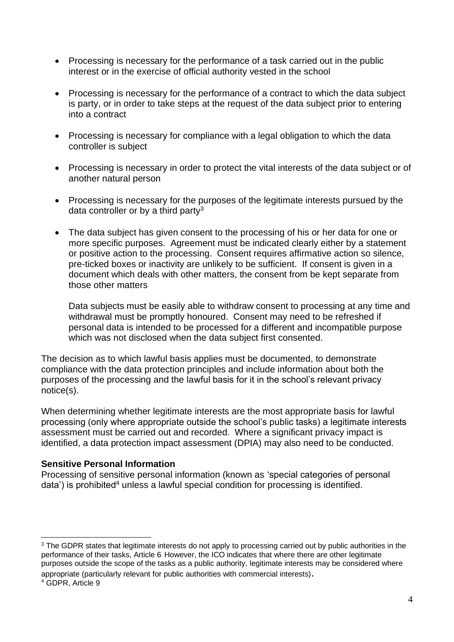- Processing is necessary for the performance of a task carried out in the public interest or in the exercise of official authority vested in the school
- Processing is necessary for the performance of a contract to which the data subject is party, or in order to take steps at the request of the data subject prior to entering into a contract
- Processing is necessary for compliance with a legal obligation to which the data controller is subject
- Processing is necessary in order to protect the vital interests of the data subject or of another natural person
- Processing is necessary for the purposes of the legitimate interests pursued by the data controller or by a third party<sup>3</sup>
- The data subject has given consent to the processing of his or her data for one or more specific purposes. Agreement must be indicated clearly either by a statement or positive action to the processing. Consent requires affirmative action so silence, pre-ticked boxes or inactivity are unlikely to be sufficient. If consent is given in a document which deals with other matters, the consent from be kept separate from those other matters

Data subjects must be easily able to withdraw consent to processing at any time and withdrawal must be promptly honoured. Consent may need to be refreshed if personal data is intended to be processed for a different and incompatible purpose which was not disclosed when the data subject first consented.

The decision as to which lawful basis applies must be documented, to demonstrate compliance with the data protection principles and include information about both the purposes of the processing and the lawful basis for it in the school's relevant privacy notice(s).

When determining whether legitimate interests are the most appropriate basis for lawful processing (only where appropriate outside the school's public tasks) a legitimate interests assessment must be carried out and recorded. Where a significant privacy impact is identified, a data protection impact assessment (DPIA) may also need to be conducted.

#### **Sensitive Personal Information**

Processing of sensitive personal information (known as 'special categories of personal data') is prohibited<sup>4</sup> unless a lawful special condition for processing is identified.

appropriate (particularly relevant for public authorities with commercial interests).

<sup>&</sup>lt;sup>3</sup> The GDPR states that legitimate interests do not apply to processing carried out by public authorities in the performance of their tasks, Article 6 However, the ICO indicates that where there are other legitimate purposes outside the scope of the tasks as a public authority, legitimate interests may be considered where

<sup>4</sup> GDPR, Article 9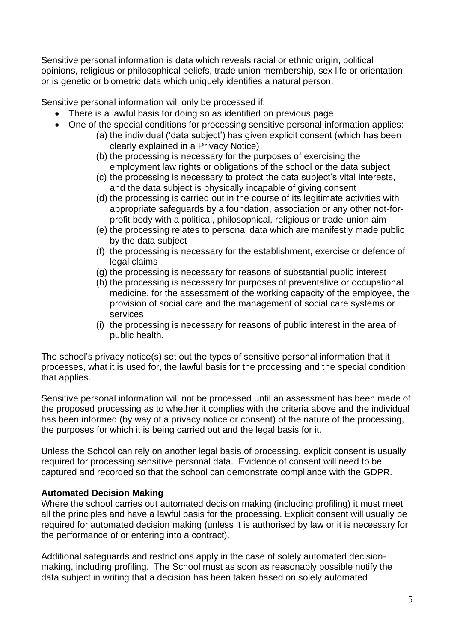Sensitive personal information is data which reveals racial or ethnic origin, political opinions, religious or philosophical beliefs, trade union membership, sex life or orientation or is genetic or biometric data which uniquely identifies a natural person.

Sensitive personal information will only be processed if:

- There is a lawful basis for doing so as identified on previous page
- One of the special conditions for processing sensitive personal information applies:
	- (a) the individual ('data subject') has given explicit consent (which has been clearly explained in a Privacy Notice)
	- (b) the processing is necessary for the purposes of exercising the employment law rights or obligations of the school or the data subject
	- (c) the processing is necessary to protect the data subject's vital interests, and the data subject is physically incapable of giving consent
	- (d) the processing is carried out in the course of its legitimate activities with appropriate safeguards by a foundation, association or any other not-forprofit body with a political, philosophical, religious or trade-union aim
	- (e) the processing relates to personal data which are manifestly made public by the data subject
	- (f) the processing is necessary for the establishment, exercise or defence of legal claims
	- (g) the processing is necessary for reasons of substantial public interest
	- (h) the processing is necessary for purposes of preventative or occupational medicine, for the assessment of the working capacity of the employee, the provision of social care and the management of social care systems or services
	- (i) the processing is necessary for reasons of public interest in the area of public health.

The school's privacy notice(s) set out the types of sensitive personal information that it processes, what it is used for, the lawful basis for the processing and the special condition that applies.

Sensitive personal information will not be processed until an assessment has been made of the proposed processing as to whether it complies with the criteria above and the individual has been informed (by way of a privacy notice or consent) of the nature of the processing, the purposes for which it is being carried out and the legal basis for it.

Unless the School can rely on another legal basis of processing, explicit consent is usually required for processing sensitive personal data. Evidence of consent will need to be captured and recorded so that the school can demonstrate compliance with the GDPR.

## **Automated Decision Making**

Where the school carries out automated decision making (including profiling) it must meet all the principles and have a lawful basis for the processing. Explicit consent will usually be required for automated decision making (unless it is authorised by law or it is necessary for the performance of or entering into a contract).

Additional safeguards and restrictions apply in the case of solely automated decisionmaking, including profiling. The School must as soon as reasonably possible notify the data subject in writing that a decision has been taken based on solely automated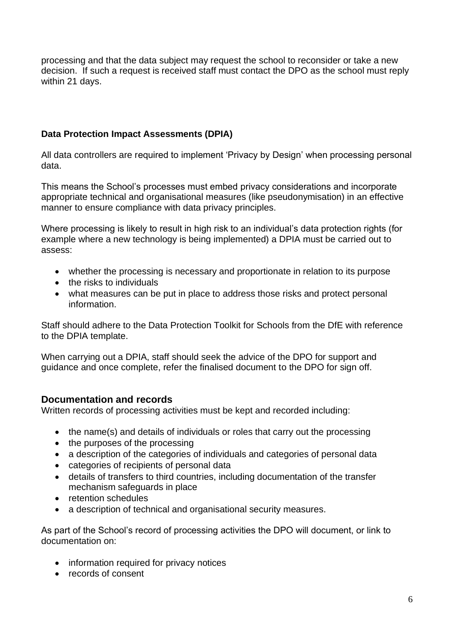processing and that the data subject may request the school to reconsider or take a new decision. If such a request is received staff must contact the DPO as the school must reply within 21 days.

## **Data Protection Impact Assessments (DPIA)**

All data controllers are required to implement 'Privacy by Design' when processing personal data.

This means the School's processes must embed privacy considerations and incorporate appropriate technical and organisational measures (like pseudonymisation) in an effective manner to ensure compliance with data privacy principles.

Where processing is likely to result in high risk to an individual's data protection rights (for example where a new technology is being implemented) a DPIA must be carried out to assess:

- whether the processing is necessary and proportionate in relation to its purpose
- the risks to individuals
- what measures can be put in place to address those risks and protect personal information.

Staff should adhere to the Data Protection Toolkit for Schools from the DfE with reference to the DPIA template.

When carrying out a DPIA, staff should seek the advice of the DPO for support and guidance and once complete, refer the finalised document to the DPO for sign off.

## **Documentation and records**

Written records of processing activities must be kept and recorded including:

- the name(s) and details of individuals or roles that carry out the processing
- the purposes of the processing
- a description of the categories of individuals and categories of personal data
- categories of recipients of personal data
- details of transfers to third countries, including documentation of the transfer mechanism safeguards in place
- retention schedules
- a description of technical and organisational security measures.

As part of the School's record of processing activities the DPO will document, or link to documentation on:

- information required for privacy notices
- records of consent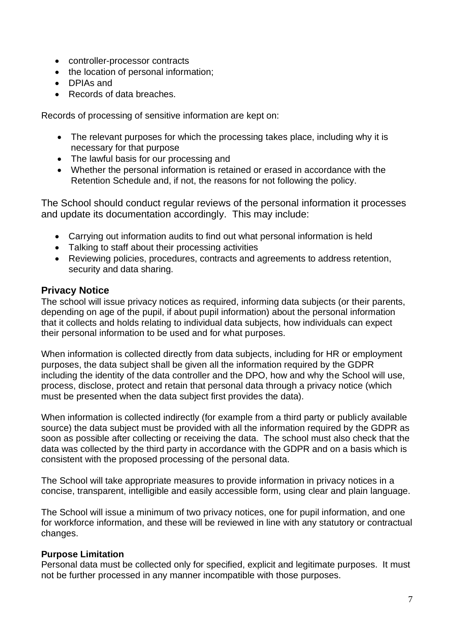- controller-processor contracts
- the location of personal information;
- DPIAs and
- Records of data breaches.

Records of processing of sensitive information are kept on:

- The relevant purposes for which the processing takes place, including why it is necessary for that purpose
- The lawful basis for our processing and
- Whether the personal information is retained or erased in accordance with the Retention Schedule and, if not, the reasons for not following the policy.

The School should conduct regular reviews of the personal information it processes and update its documentation accordingly. This may include:

- Carrying out information audits to find out what personal information is held
- Talking to staff about their processing activities
- Reviewing policies, procedures, contracts and agreements to address retention, security and data sharing.

## **Privacy Notice**

The school will issue privacy notices as required, informing data subjects (or their parents, depending on age of the pupil, if about pupil information) about the personal information that it collects and holds relating to individual data subjects, how individuals can expect their personal information to be used and for what purposes.

When information is collected directly from data subjects, including for HR or employment purposes, the data subject shall be given all the information required by the GDPR including the identity of the data controller and the DPO, how and why the School will use, process, disclose, protect and retain that personal data through a privacy notice (which must be presented when the data subject first provides the data).

When information is collected indirectly (for example from a third party or publicly available source) the data subject must be provided with all the information required by the GDPR as soon as possible after collecting or receiving the data. The school must also check that the data was collected by the third party in accordance with the GDPR and on a basis which is consistent with the proposed processing of the personal data.

The School will take appropriate measures to provide information in privacy notices in a concise, transparent, intelligible and easily accessible form, using clear and plain language.

The School will issue a minimum of two privacy notices, one for pupil information, and one for workforce information, and these will be reviewed in line with any statutory or contractual changes.

#### **Purpose Limitation**

Personal data must be collected only for specified, explicit and legitimate purposes. It must not be further processed in any manner incompatible with those purposes.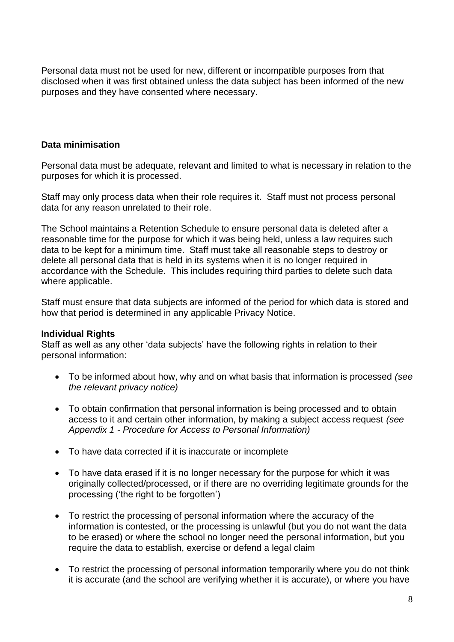Personal data must not be used for new, different or incompatible purposes from that disclosed when it was first obtained unless the data subject has been informed of the new purposes and they have consented where necessary.

#### **Data minimisation**

Personal data must be adequate, relevant and limited to what is necessary in relation to the purposes for which it is processed.

Staff may only process data when their role requires it. Staff must not process personal data for any reason unrelated to their role.

The School maintains a Retention Schedule to ensure personal data is deleted after a reasonable time for the purpose for which it was being held, unless a law requires such data to be kept for a minimum time. Staff must take all reasonable steps to destroy or delete all personal data that is held in its systems when it is no longer required in accordance with the Schedule. This includes requiring third parties to delete such data where applicable.

Staff must ensure that data subjects are informed of the period for which data is stored and how that period is determined in any applicable Privacy Notice.

#### **Individual Rights**

Staff as well as any other 'data subjects' have the following rights in relation to their personal information:

- To be informed about how, why and on what basis that information is processed *(see the relevant privacy notice)*
- To obtain confirmation that personal information is being processed and to obtain access to it and certain other information, by making a subject access request *(see Appendix 1 - Procedure for Access to Personal Information)*
- To have data corrected if it is inaccurate or incomplete
- To have data erased if it is no longer necessary for the purpose for which it was originally collected/processed, or if there are no overriding legitimate grounds for the processing ('the right to be forgotten')
- To restrict the processing of personal information where the accuracy of the information is contested, or the processing is unlawful (but you do not want the data to be erased) or where the school no longer need the personal information, but you require the data to establish, exercise or defend a legal claim
- To restrict the processing of personal information temporarily where you do not think it is accurate (and the school are verifying whether it is accurate), or where you have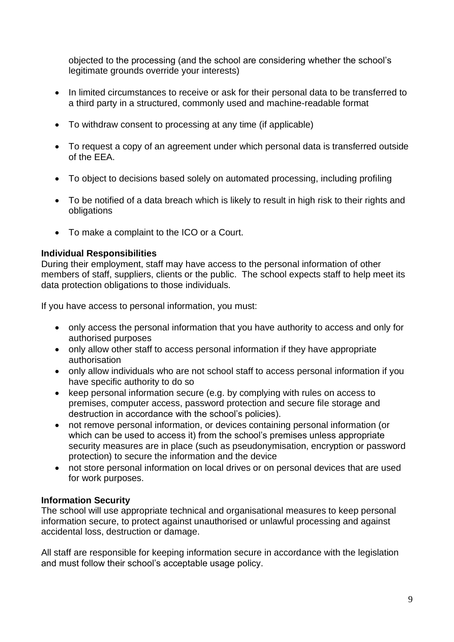objected to the processing (and the school are considering whether the school's legitimate grounds override your interests)

- In limited circumstances to receive or ask for their personal data to be transferred to a third party in a structured, commonly used and machine-readable format
- To withdraw consent to processing at any time (if applicable)
- To request a copy of an agreement under which personal data is transferred outside of the EEA.
- To object to decisions based solely on automated processing, including profiling
- To be notified of a data breach which is likely to result in high risk to their rights and obligations
- To make a complaint to the ICO or a Court.

## **Individual Responsibilities**

During their employment, staff may have access to the personal information of other members of staff, suppliers, clients or the public. The school expects staff to help meet its data protection obligations to those individuals.

If you have access to personal information, you must:

- only access the personal information that you have authority to access and only for authorised purposes
- only allow other staff to access personal information if they have appropriate authorisation
- only allow individuals who are not school staff to access personal information if you have specific authority to do so
- keep personal information secure (e.g. by complying with rules on access to premises, computer access, password protection and secure file storage and destruction in accordance with the school's policies).
- not remove personal information, or devices containing personal information (or which can be used to access it) from the school's premises unless appropriate security measures are in place (such as pseudonymisation, encryption or password protection) to secure the information and the device
- not store personal information on local drives or on personal devices that are used for work purposes.

## **Information Security**

The school will use appropriate technical and organisational measures to keep personal information secure, to protect against unauthorised or unlawful processing and against accidental loss, destruction or damage.

All staff are responsible for keeping information secure in accordance with the legislation and must follow their school's acceptable usage policy.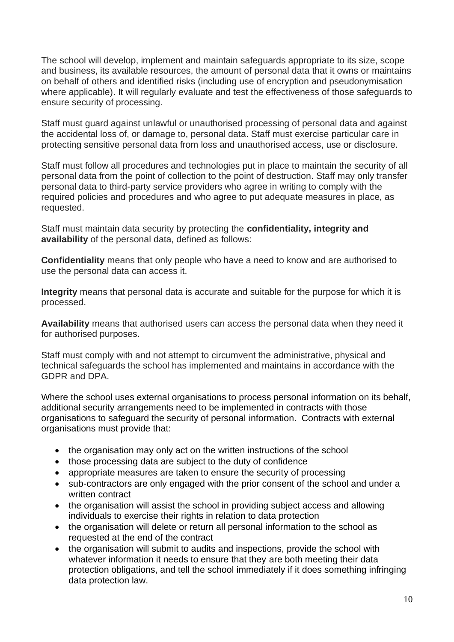The school will develop, implement and maintain safeguards appropriate to its size, scope and business, its available resources, the amount of personal data that it owns or maintains on behalf of others and identified risks (including use of encryption and pseudonymisation where applicable). It will regularly evaluate and test the effectiveness of those safeguards to ensure security of processing.

Staff must guard against unlawful or unauthorised processing of personal data and against the accidental loss of, or damage to, personal data. Staff must exercise particular care in protecting sensitive personal data from loss and unauthorised access, use or disclosure.

Staff must follow all procedures and technologies put in place to maintain the security of all personal data from the point of collection to the point of destruction. Staff may only transfer personal data to third-party service providers who agree in writing to comply with the required policies and procedures and who agree to put adequate measures in place, as requested.

Staff must maintain data security by protecting the **confidentiality, integrity and availability** of the personal data, defined as follows:

**Confidentiality** means that only people who have a need to know and are authorised to use the personal data can access it.

**Integrity** means that personal data is accurate and suitable for the purpose for which it is processed.

**Availability** means that authorised users can access the personal data when they need it for authorised purposes.

Staff must comply with and not attempt to circumvent the administrative, physical and technical safeguards the school has implemented and maintains in accordance with the GDPR and DPA.

Where the school uses external organisations to process personal information on its behalf, additional security arrangements need to be implemented in contracts with those organisations to safeguard the security of personal information. Contracts with external organisations must provide that:

- the organisation may only act on the written instructions of the school
- those processing data are subject to the duty of confidence
- appropriate measures are taken to ensure the security of processing
- sub-contractors are only engaged with the prior consent of the school and under a written contract
- the organisation will assist the school in providing subject access and allowing individuals to exercise their rights in relation to data protection
- the organisation will delete or return all personal information to the school as requested at the end of the contract
- the organisation will submit to audits and inspections, provide the school with whatever information it needs to ensure that they are both meeting their data protection obligations, and tell the school immediately if it does something infringing data protection law.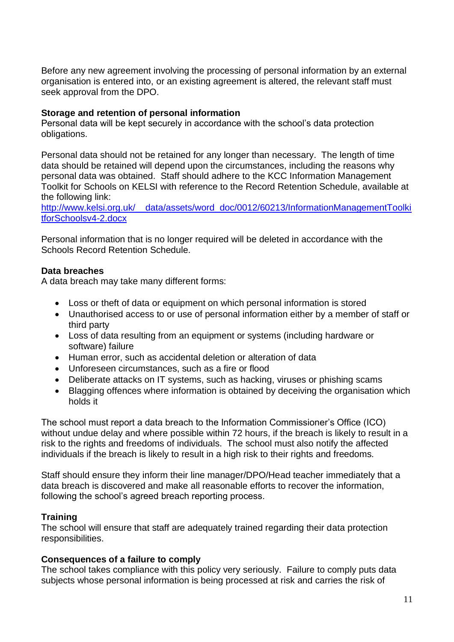Before any new agreement involving the processing of personal information by an external organisation is entered into, or an existing agreement is altered, the relevant staff must seek approval from the DPO.

### **Storage and retention of personal information**

Personal data will be kept securely in accordance with the school's data protection obligations.

Personal data should not be retained for any longer than necessary. The length of time data should be retained will depend upon the circumstances, including the reasons why personal data was obtained. Staff should adhere to the KCC Information Management Toolkit for Schools on KELSI with reference to the Record Retention Schedule, available at the following link:

[http://www.kelsi.org.uk/\\_\\_data/assets/word\\_doc/0012/60213/InformationManagementToolki](http://www.kelsi.org.uk/__data/assets/word_doc/0012/60213/InformationManagementToolkitforSchoolsv4-2.docx) [tforSchoolsv4-2.docx](http://www.kelsi.org.uk/__data/assets/word_doc/0012/60213/InformationManagementToolkitforSchoolsv4-2.docx)

Personal information that is no longer required will be deleted in accordance with the Schools Record Retention Schedule.

## **Data breaches**

A data breach may take many different forms:

- Loss or theft of data or equipment on which personal information is stored
- Unauthorised access to or use of personal information either by a member of staff or third party
- Loss of data resulting from an equipment or systems (including hardware or software) failure
- Human error, such as accidental deletion or alteration of data
- Unforeseen circumstances, such as a fire or flood
- Deliberate attacks on IT systems, such as hacking, viruses or phishing scams
- Blagging offences where information is obtained by deceiving the organisation which holds it

The school must report a data breach to the Information Commissioner's Office (ICO) without undue delay and where possible within 72 hours, if the breach is likely to result in a risk to the rights and freedoms of individuals. The school must also notify the affected individuals if the breach is likely to result in a high risk to their rights and freedoms.

Staff should ensure they inform their line manager/DPO/Head teacher immediately that a data breach is discovered and make all reasonable efforts to recover the information, following the school's agreed breach reporting process.

#### **Training**

The school will ensure that staff are adequately trained regarding their data protection responsibilities.

#### **Consequences of a failure to comply**

The school takes compliance with this policy very seriously. Failure to comply puts data subjects whose personal information is being processed at risk and carries the risk of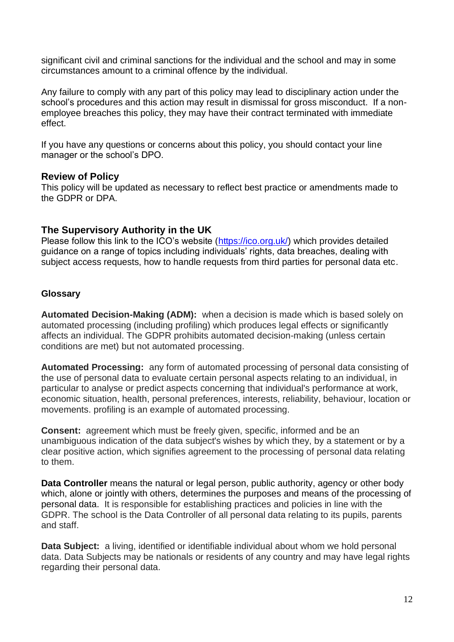significant civil and criminal sanctions for the individual and the school and may in some circumstances amount to a criminal offence by the individual.

Any failure to comply with any part of this policy may lead to disciplinary action under the school's procedures and this action may result in dismissal for gross misconduct. If a nonemployee breaches this policy, they may have their contract terminated with immediate effect.

If you have any questions or concerns about this policy, you should contact your line manager or the school's DPO.

#### **Review of Policy**

This policy will be updated as necessary to reflect best practice or amendments made to the GDPR or DPA.

## **The Supervisory Authority in the UK**

Please follow this link to the ICO's website [\(https://ico.org.uk/\)](https://ico.org.uk/) which provides detailed guidance on a range of topics including individuals' rights, data breaches, dealing with subject access requests, how to handle requests from third parties for personal data etc.

### **Glossary**

**Automated Decision-Making (ADM):** when a decision is made which is based solely on automated processing (including profiling) which produces legal effects or significantly affects an individual. The GDPR prohibits automated decision-making (unless certain conditions are met) but not automated processing.

**Automated Processing:** any form of automated processing of personal data consisting of the use of personal data to evaluate certain personal aspects relating to an individual, in particular to analyse or predict aspects concerning that individual's performance at work, economic situation, health, personal preferences, interests, reliability, behaviour, location or movements. profiling is an example of automated processing.

**Consent:** agreement which must be freely given, specific, informed and be an unambiguous indication of the data subject's wishes by which they, by a statement or by a clear positive action, which signifies agreement to the processing of personal data relating to them.

**Data Controller** means the natural or legal person, public authority, agency or other body which, alone or jointly with others, determines the purposes and means of the processing of personal data. It is responsible for establishing practices and policies in line with the GDPR. The school is the Data Controller of all personal data relating to its pupils, parents and staff.

**Data Subject:** a living, identified or identifiable individual about whom we hold personal data. Data Subjects may be nationals or residents of any country and may have legal rights regarding their personal data.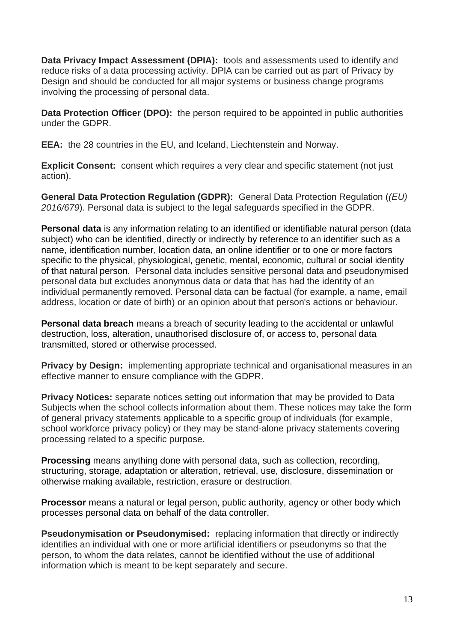**Data Privacy Impact Assessment (DPIA):** tools and assessments used to identify and reduce risks of a data processing activity. DPIA can be carried out as part of Privacy by Design and should be conducted for all major systems or business change programs involving the processing of personal data.

**Data Protection Officer (DPO):** the person required to be appointed in public authorities under the GDPR.

**EEA:** the 28 countries in the EU, and Iceland, Liechtenstein and Norway.

**Explicit Consent:** consent which requires a very clear and specific statement (not just action).

**General Data Protection Regulation (GDPR):** General Data Protection Regulation (*(EU) 2016/679*). Personal data is subject to the legal safeguards specified in the GDPR.

**Personal data** is any information relating to an identified or identifiable natural person (data subject) who can be identified, directly or indirectly by reference to an identifier such as a name, identification number, location data, an online identifier or to one or more factors specific to the physical, physiological, genetic, mental, economic, cultural or social identity of that natural person. Personal data includes sensitive personal data and pseudonymised personal data but excludes anonymous data or data that has had the identity of an individual permanently removed. Personal data can be factual (for example, a name, email address, location or date of birth) or an opinion about that person's actions or behaviour.

**Personal data breach** means a breach of security leading to the accidental or unlawful destruction, loss, alteration, unauthorised disclosure of, or access to, personal data transmitted, stored or otherwise processed.

**Privacy by Design:** implementing appropriate technical and organisational measures in an effective manner to ensure compliance with the GDPR.

**Privacy Notices:** separate notices setting out information that may be provided to Data Subjects when the school collects information about them. These notices may take the form of general privacy statements applicable to a specific group of individuals (for example, school workforce privacy policy) or they may be stand-alone privacy statements covering processing related to a specific purpose.

**Processing** means anything done with personal data, such as collection, recording, structuring, storage, adaptation or alteration, retrieval, use, disclosure, dissemination or otherwise making available, restriction, erasure or destruction.

**Processor** means a natural or legal person, public authority, agency or other body which processes personal data on behalf of the data controller.

**Pseudonymisation or Pseudonymised:** replacing information that directly or indirectly identifies an individual with one or more artificial identifiers or pseudonyms so that the person, to whom the data relates, cannot be identified without the use of additional information which is meant to be kept separately and secure.